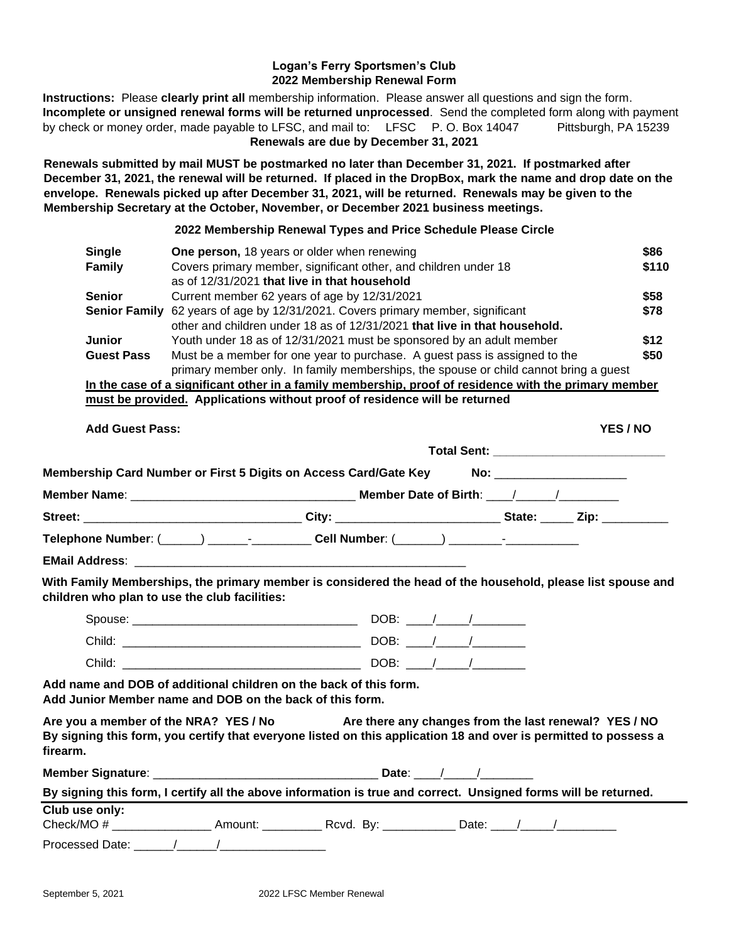### **Logan's Ferry Sportsmen's Club 2022 Membership Renewal Form**

**Instructions:** Please **clearly print all** membership information. Please answer all questions and sign the form. **Incomplete or unsigned renewal forms will be returned unprocessed**. Send the completed form along with payment by check or money order, made payable to LFSC, and mail to: LFSC P. O. Box 14047 Pittsburgh, PA 15239 **Renewals are due by December 31, 2021**

**Renewals submitted by mail MUST be postmarked no later than December 31, 2021. If postmarked after December 31, 2021, the renewal will be returned. If placed in the DropBox, mark the name and drop date on the envelope. Renewals picked up after December 31, 2021, will be returned. Renewals may be given to the Membership Secretary at the October, November, or December 2021 business meetings.**

#### **2022 Membership Renewal Types and Price Schedule Please Circle**

| <b>Single</b>        | <b>One person, 18 years or older when renewing</b>                                                    | \$86  |
|----------------------|-------------------------------------------------------------------------------------------------------|-------|
| <b>Family</b>        | Covers primary member, significant other, and children under 18                                       | \$110 |
|                      | as of 12/31/2021 that live in that household                                                          |       |
| <b>Senior</b>        | Current member 62 years of age by 12/31/2021                                                          | \$58  |
| <b>Senior Family</b> | 62 years of age by 12/31/2021. Covers primary member, significant                                     | \$78  |
|                      | other and children under 18 as of 12/31/2021 that live in that household.                             |       |
| <b>Junior</b>        | Youth under 18 as of 12/31/2021 must be sponsored by an adult member                                  | \$12  |
| <b>Guest Pass</b>    | Must be a member for one year to purchase. A guest pass is assigned to the                            | \$50  |
|                      | primary member only. In family memberships, the spouse or child cannot bring a guest                  |       |
|                      | In the case of a significant other in a family membership, proof of residence with the primary member |       |
|                      |                                                                                                       |       |

| must be provided. Applications without proof of residence will be returned |
|----------------------------------------------------------------------------|
|----------------------------------------------------------------------------|

| <b>Add Guest Pass:</b> |                                                                                  | YES / NO                    |
|------------------------|----------------------------------------------------------------------------------|-----------------------------|
|                        |                                                                                  |                             |
|                        | Membership Card Number or First 5 Digits on Access Card/Gate Key                 | No: _______________________ |
|                        |                                                                                  |                             |
|                        |                                                                                  |                             |
|                        | Telephone Number: (_____) ______-________Cell Number: (______) _______-__-______ |                             |
| <b>EMail Address:</b>  |                                                                                  |                             |

#### **With Family Memberships, the primary member is considered the head of the household, please list spouse and children who plan to use the club facilities:**

| Spouse: | DOB:       |
|---------|------------|
| Child:  | <b>DOB</b> |
| Child:  | DOB:       |

**Add name and DOB of additional children on the back of this form. Add Junior Member name and DOB on the back of this form.**

**Are you a member of the NRA? YES / No Are there any changes from the last renewal? YES / NO By signing this form, you certify that everyone listed on this application 18 and over is permitted to possess a firearm.**

| <b>Member Signature:</b> |                                                                                                                 | Date:                   |       |  |  |
|--------------------------|-----------------------------------------------------------------------------------------------------------------|-------------------------|-------|--|--|
|                          | By signing this form, I certify all the above information is true and correct. Unsigned forms will be returned. |                         |       |  |  |
| Club use only:           |                                                                                                                 |                         |       |  |  |
| Check/MO#                | Amount:                                                                                                         | Rcvd. By: <b>Review</b> | Date: |  |  |
| Processed Date:          |                                                                                                                 |                         |       |  |  |